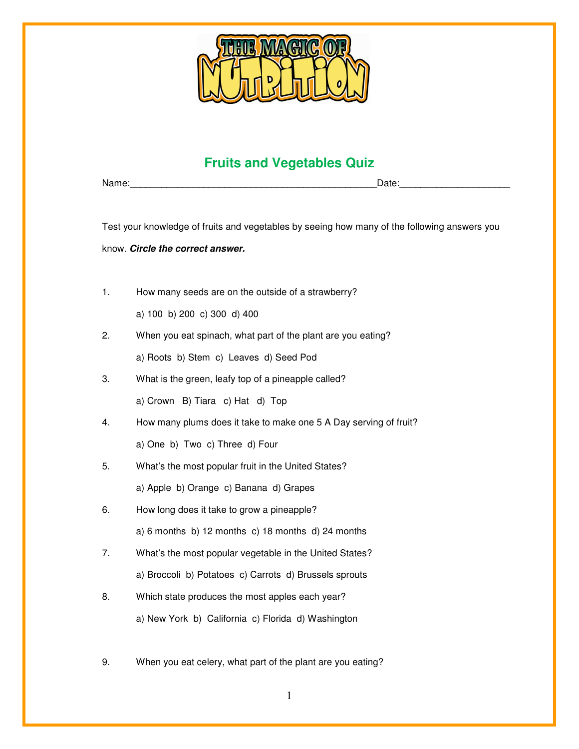

## **Fruits and Vegetables Quiz**

Name: which is a set of the control of the control of the control of the control of the control of the control of the control of the control of the control of the control of the control of the control of the control of the

Test your knowledge of fruits and vegetables by seeing how many of the following answers you

know. **Circle the correct answer.** 

1. How many seeds are on the outside of a strawberry?

a) 100 b) 200 c) 300 d) 400

2. When you eat spinach, what part of the plant are you eating?

a) Roots b) Stem c) Leaves d) Seed Pod

- 3. What is the green, leafy top of a pineapple called?
	- a) Crown B) Tiara c) Hat d) Top
- 4. How many plums does it take to make one 5 A Day serving of fruit?

a) One b) Two c) Three d) Four

- 5. What's the most popular fruit in the United States? a) Apple b) Orange c) Banana d) Grapes
- 6. How long does it take to grow a pineapple?

a) 6 months b) 12 months c) 18 months d) 24 months

- 7. What's the most popular vegetable in the United States? a) Broccoli b) Potatoes c) Carrots d) Brussels sprouts
- 8. Which state produces the most apples each year? a) New York b) California c) Florida d) Washington
- 9. When you eat celery, what part of the plant are you eating?